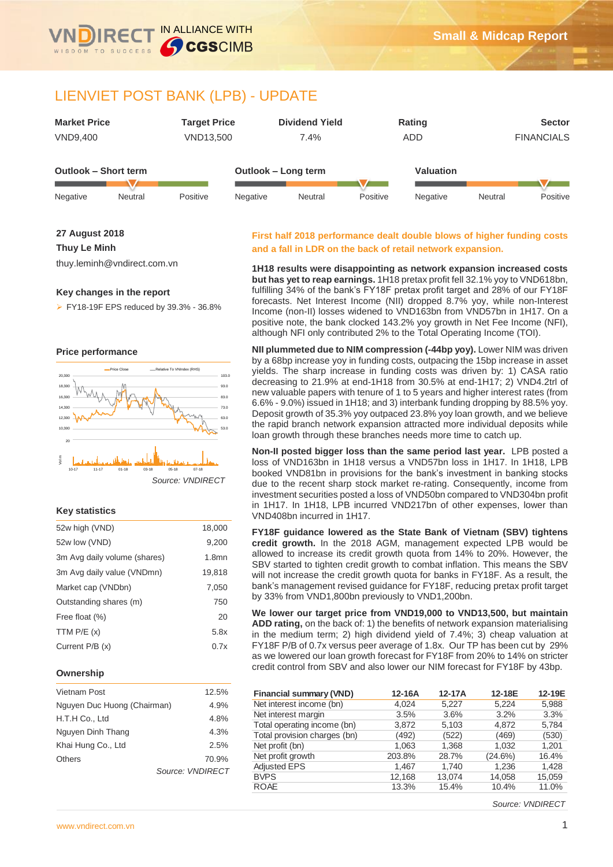

# LIENVIET POST BANK (LPB) - UPDATE

| <b>Market Price</b>  |         | <b>Target Price</b> |          | <b>Dividend Yield</b> |          | Rating           |         | <b>Sector</b>     |
|----------------------|---------|---------------------|----------|-----------------------|----------|------------------|---------|-------------------|
| <b>VND9,400</b>      |         | VND13,500           |          | 7.4%                  |          | ADD              |         | <b>FINANCIALS</b> |
|                      |         |                     |          |                       |          |                  |         |                   |
| Outlook - Short term |         |                     |          | Outlook - Long term   |          | <b>Valuation</b> |         |                   |
|                      |         |                     |          |                       |          |                  |         |                   |
| Negative             | Neutral | Positive            | Negative | Neutral               | Positive | Negative         | Neutral | Positive          |

#### **27 August 2018**

#### **Thuy Le Minh**

thuy.leminh@vndirect.com.vn

#### **Key changes in the report**

FY18-19F EPS reduced by 39.3% - 36.8%





### **Key statistics**

| 52w high (VND)               | 18,000   |
|------------------------------|----------|
| 52w low (VND)                | 9,200    |
| 3m Avg daily volume (shares) | $1.8$ mn |
| 3m Avg daily value (VNDmn)   | 19,818   |
| Market cap (VNDbn)           | 7.050    |
| Outstanding shares (m)       | 750      |
| Free float (%)               | 20       |
| TTM $P/E(x)$                 | 5.8x     |
| Current P/B (x)              | 0.7x     |

#### **Ownership**

| Vietnam Post                | 12.5%            |
|-----------------------------|------------------|
| Nguyen Duc Huong (Chairman) | 4.9%             |
| H.T.H Co., Ltd              | 4.8%             |
| Nguyen Dinh Thang           | 4.3%             |
| Khai Hung Co., Ltd          | 2.5%             |
| Others                      | 70.9%            |
|                             | Source: VNDIRECT |

#### **First half 2018 performance dealt double blows of higher funding costs and a fall in LDR on the back of retail network expansion.**

**1H18 results were disappointing as network expansion increased costs but has yet to reap earnings.** 1H18 pretax profit fell 32.1% yoy to VND618bn, fulfilling 34% of the bank's FY18F pretax profit target and 28% of our FY18F forecasts. Net Interest Income (NII) dropped 8.7% yoy, while non-Interest Income (non-II) losses widened to VND163bn from VND57bn in 1H17. On a positive note, the bank clocked 143.2% yoy growth in Net Fee Income (NFI), although NFI only contributed 2% to the Total Operating Income (TOI).

**NII plummeted due to NIM compression (-44bp yoy).** Lower NIM was driven by a 68bp increase yoy in funding costs, outpacing the 15bp increase in asset yields. The sharp increase in funding costs was driven by: 1) CASA ratio decreasing to 21.9% at end-1H18 from 30.5% at end-1H17; 2) VND4.2trl of new valuable papers with tenure of 1 to 5 years and higher interest rates (from 6.6% - 9.0%) issued in 1H18; and 3) interbank funding dropping by 88.5% yoy. Deposit growth of 35.3% yoy outpaced 23.8% yoy loan growth, and we believe the rapid branch network expansion attracted more individual deposits while loan growth through these branches needs more time to catch up.

**Non-II posted bigger loss than the same period last year.** LPB posted a loss of VND163bn in 1H18 versus a VND57bn loss in 1H17. In 1H18, LPB booked VND81bn in provisions for the bank's investment in banking stocks due to the recent sharp stock market re-rating. Consequently, income from investment securities posted a loss of VND50bn compared to VND304bn profit in 1H17. In 1H18, LPB incurred VND217bn of other expenses, lower than VND408bn incurred in 1H17.

**FY18F guidance lowered as the State Bank of Vietnam (SBV) tightens credit growth.** In the 2018 AGM, management expected LPB would be allowed to increase its credit growth quota from 14% to 20%. However, the SBV started to tighten credit growth to combat inflation. This means the SBV will not increase the credit growth quota for banks in FY18F. As a result, the bank's management revised guidance for FY18F, reducing pretax profit target by 33% from VND1,800bn previously to VND1,200bn.

**We lower our target price from VND19,000 to VND13,500, but maintain ADD rating,** on the back of: 1) the benefits of network expansion materialising in the medium term; 2) high dividend yield of 7.4%; 3) cheap valuation at FY18F P/B of 0.7x versus peer average of 1.8x. Our TP has been cut by 29% as we lowered our loan growth forecast for FY18F from 20% to 14% on stricter credit control from SBV and also lower our NIM forecast for FY18F by 43bp.

| <b>Financial summary (VND)</b> | 12-16A | 12-17A | 12-18E  | 12-19E |
|--------------------------------|--------|--------|---------|--------|
| Net interest income (bn)       | 4.024  | 5.227  | 5.224   | 5,988  |
| Net interest margin            | 3.5%   | 3.6%   | 3.2%    | 3.3%   |
| Total operating income (bn)    | 3,872  | 5,103  | 4,872   | 5,784  |
| Total provision charges (bn)   | (492)  | (522)  | (469)   | (530)  |
| Net profit (bn)                | 1.063  | 1.368  | 1.032   | 1,201  |
| Net profit growth              | 203.8% | 28.7%  | (24.6%) | 16.4%  |
| <b>Adjusted EPS</b>            | 1.467  | 1.740  | 1.236   | 1,428  |
| <b>BVPS</b>                    | 12,168 | 13.074 | 14,058  | 15,059 |
| <b>ROAE</b>                    | 13.3%  | 15.4%  | 10.4%   | 11.0%  |

*Source: VNDIRECT*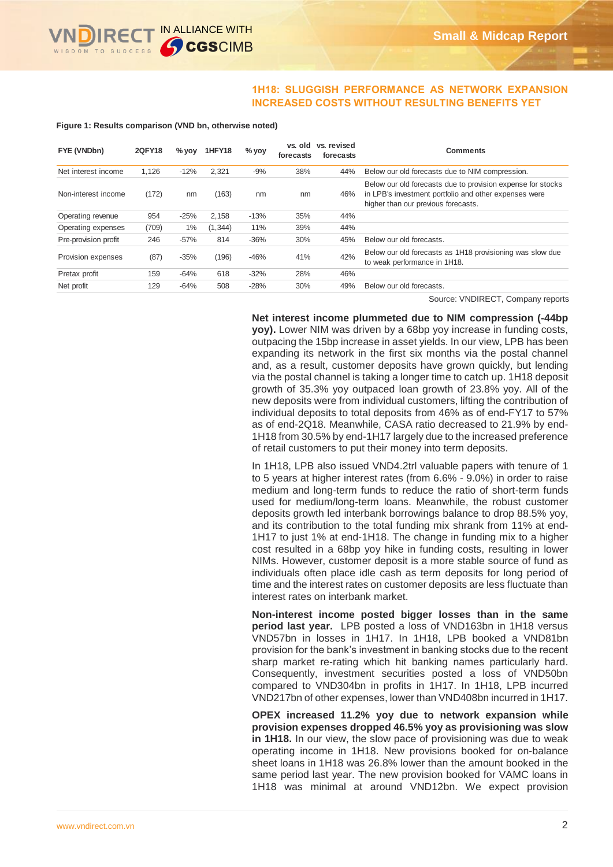

### **1H18: SLUGGISH PERFORMANCE AS NETWORK EXPANSION INCREASED COSTS WITHOUT RESULTING BENEFITS YET**

**Figure 1: Results comparison (VND bn, otherwise noted)**

| FYE (VNDbn)          | <b>2QFY18</b> | $%$ yoy | <b>1HFY18</b> | $%$ yoy | vs. old<br>forecasts | vs. revised<br>forecasts | Comments                                                                                                                                                    |
|----------------------|---------------|---------|---------------|---------|----------------------|--------------------------|-------------------------------------------------------------------------------------------------------------------------------------------------------------|
| Net interest income  | 1.126         | $-12%$  | 2.321         | $-9%$   | 38%                  | 44%                      | Below our old forecasts due to NIM compression.                                                                                                             |
| Non-interest income  | (172)         | nm      | (163)         | nm      | nm                   | 46%                      | Below our old forecasts due to provision expense for stocks<br>in LPB's investment portfolio and other expenses were<br>higher than our previous forecasts. |
| Operating revenue    | 954           | $-25%$  | 2.158         | $-13%$  | 35%                  | 44%                      |                                                                                                                                                             |
| Operating expenses   | (709)         | 1%      | (1, 344)      | 11%     | 39%                  | 44%                      |                                                                                                                                                             |
| Pre-provision profit | 246           | $-57%$  | 814           | $-36%$  | 30%                  | 45%                      | Below our old forecasts.                                                                                                                                    |
| Provision expenses   | (87)          | $-35%$  | (196)         | $-46%$  | 41%                  | 42%                      | Below our old forecasts as 1H18 provisioning was slow due<br>to weak performance in 1H18.                                                                   |
| Pretax profit        | 159           | $-64%$  | 618           | $-32%$  | 28%                  | 46%                      |                                                                                                                                                             |
| Net profit           | 129           | $-64%$  | 508           | $-28%$  | 30%                  | 49%                      | Below our old forecasts.                                                                                                                                    |

Source: VNDIRECT, Company reports

**Net interest income plummeted due to NIM compression (-44bp yoy).** Lower NIM was driven by a 68bp yoy increase in funding costs, outpacing the 15bp increase in asset yields. In our view, LPB has been expanding its network in the first six months via the postal channel and, as a result, customer deposits have grown quickly, but lending via the postal channel is taking a longer time to catch up. 1H18 deposit growth of 35.3% yoy outpaced loan growth of 23.8% yoy. All of the new deposits were from individual customers, lifting the contribution of individual deposits to total deposits from 46% as of end-FY17 to 57% as of end-2Q18. Meanwhile, CASA ratio decreased to 21.9% by end-1H18 from 30.5% by end-1H17 largely due to the increased preference of retail customers to put their money into term deposits.

In 1H18, LPB also issued VND4.2trl valuable papers with tenure of 1 to 5 years at higher interest rates (from 6.6% - 9.0%) in order to raise medium and long-term funds to reduce the ratio of short-term funds used for medium/long-term loans. Meanwhile, the robust customer deposits growth led interbank borrowings balance to drop 88.5% yoy, and its contribution to the total funding mix shrank from 11% at end-1H17 to just 1% at end-1H18. The change in funding mix to a higher cost resulted in a 68bp yoy hike in funding costs, resulting in lower NIMs. However, customer deposit is a more stable source of fund as individuals often place idle cash as term deposits for long period of time and the interest rates on customer deposits are less fluctuate than interest rates on interbank market.

**Non-interest income posted bigger losses than in the same period last year.** LPB posted a loss of VND163bn in 1H18 versus VND57bn in losses in 1H17. In 1H18, LPB booked a VND81bn provision for the bank's investment in banking stocks due to the recent sharp market re-rating which hit banking names particularly hard. Consequently, investment securities posted a loss of VND50bn compared to VND304bn in profits in 1H17. In 1H18, LPB incurred VND217bn of other expenses, lower than VND408bn incurred in 1H17.

**OPEX increased 11.2% yoy due to network expansion while provision expenses dropped 46.5% yoy as provisioning was slow in 1H18.** In our view, the slow pace of provisioning was due to weak operating income in 1H18. New provisions booked for on-balance sheet loans in 1H18 was 26.8% lower than the amount booked in the same period last year. The new provision booked for VAMC loans in 1H18 was minimal at around VND12bn. We expect provision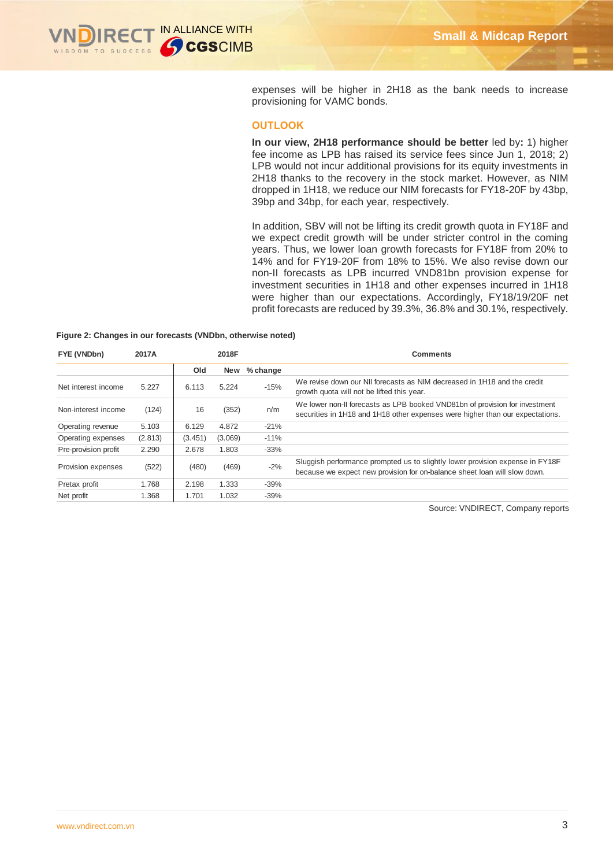expenses will be higher in 2H18 as the bank needs to increase provisioning for VAMC bonds.

#### **OUTLOOK**

**In our view, 2H18 performance should be better** led by**:** 1) higher fee income as LPB has raised its service fees since Jun 1, 2018; 2) LPB would not incur additional provisions for its equity investments in 2H18 thanks to the recovery in the stock market. However, as NIM dropped in 1H18, we reduce our NIM forecasts for FY18-20F by 43bp, 39bp and 34bp, for each year, respectively.

In addition, SBV will not be lifting its credit growth quota in FY18F and we expect credit growth will be under stricter control in the coming years. Thus, we lower loan growth forecasts for FY18F from 20% to 14% and for FY19-20F from 18% to 15%. We also revise down our non-II forecasts as LPB incurred VND81bn provision expense for investment securities in 1H18 and other expenses incurred in 1H18 were higher than our expectations. Accordingly, FY18/19/20F net profit forecasts are reduced by 39.3%, 36.8% and 30.1%, respectively.

#### **Figure 2: Changes in our forecasts (VNDbn, otherwise noted)**

| FYE (VNDbn)          | 2017A   |         | 2018F      |          | Comments                                                                                                                                                     |
|----------------------|---------|---------|------------|----------|--------------------------------------------------------------------------------------------------------------------------------------------------------------|
|                      |         | Old     | <b>New</b> | % change |                                                                                                                                                              |
| Net interest income  | 5.227   | 6.113   | 5.224      | $-15%$   | We revise down our NII forecasts as NIM decreased in 1H18 and the credit<br>growth quota will not be lifted this year.                                       |
| Non-interest income  | (124)   | 16      | (352)      | n/m      | We lower non-II forecasts as LPB booked VND81bn of provision for investment<br>securities in 1H18 and 1H18 other expenses were higher than our expectations. |
| Operating revenue    | 5.103   | 6.129   | 4.872      | $-21%$   |                                                                                                                                                              |
| Operating expenses   | (2.813) | (3.451) | (3.069)    | $-11%$   |                                                                                                                                                              |
| Pre-provision profit | 2.290   | 2.678   | 1.803      | $-33%$   |                                                                                                                                                              |
| Provision expenses   | (522)   | (480)   | (469)      | $-2%$    | Sluggish performance prompted us to slightly lower provision expense in FY18F<br>because we expect new provision for on-balance sheet loan will slow down.   |
| Pretax profit        | 1.768   | 2.198   | 1.333      | $-39%$   |                                                                                                                                                              |
| Net profit           | 1.368   | 1.701   | 1.032      | $-39%$   |                                                                                                                                                              |

Source: VNDIRECT, Company reports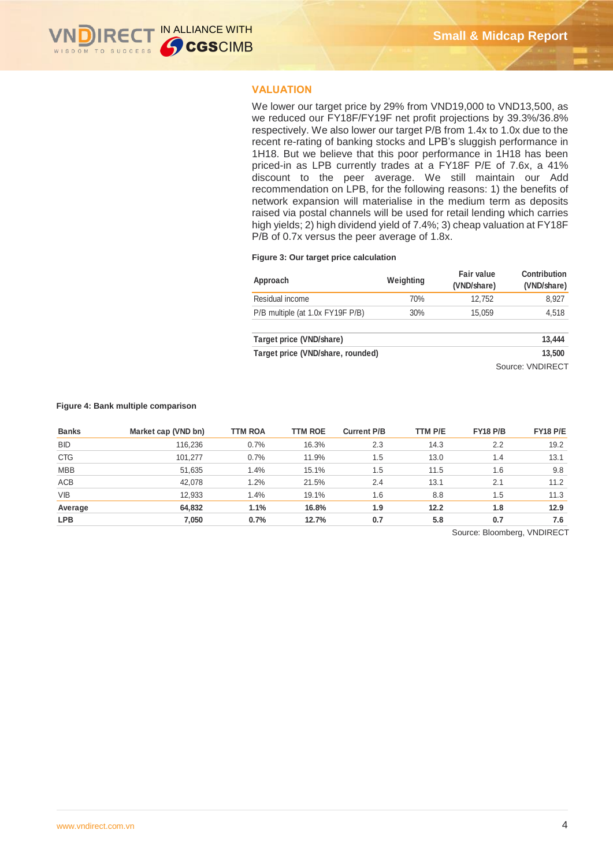

### **VALUATION**

We lower our target price by 29% from VND19,000 to VND13,500, as we reduced our FY18F/FY19F net profit projections by 39.3%/36.8% respectively. We also lower our target P/B from 1.4x to 1.0x due to the recent re-rating of banking stocks and LPB's sluggish performance in 1H18. But we believe that this poor performance in 1H18 has been priced-in as LPB currently trades at a FY18F P/E of 7.6x, a 41% discount to the peer average. We still maintain our Add recommendation on LPB, for the following reasons: 1) the benefits of network expansion will materialise in the medium term as deposits raised via postal channels will be used for retail lending which carries high yields; 2) high dividend yield of 7.4%; 3) cheap valuation at FY18F P/B of 0.7x versus the peer average of 1.8x.

#### **Figure 3: Our target price calculation**

| Approach                          | Weighting | Fair value<br>(VND/share) | Contribution<br>(VND/share) |
|-----------------------------------|-----------|---------------------------|-----------------------------|
| Residual income                   | 70%       | 12,752                    | 8,927                       |
| P/B multiple (at 1.0x FY19F P/B)  | 30%       | 15,059                    | 4,518                       |
| Target price (VND/share)          |           |                           | 13,444                      |
| Target price (VND/share, rounded) |           |                           | 13,500                      |
|                                   |           |                           | Source: VNDIRECT            |

#### **Figure 4: Bank multiple comparison**

| <b>Banks</b> | Market cap (VND bn) | <b>TTM ROA</b> | <b>TTM ROE</b> | <b>Current P/B</b> | TTM P/E | <b>FY18 P/B</b> | <b>FY18 P/E</b> |
|--------------|---------------------|----------------|----------------|--------------------|---------|-----------------|-----------------|
| <b>BID</b>   | 116.236             | 0.7%           | 16.3%          | 2.3                | 14.3    | 2.2             | 19.2            |
| <b>CTG</b>   | 101.277             | 0.7%           | 11.9%          | 1.5                | 13.0    | 1.4             | 13.1            |
| <b>MBB</b>   | 51,635              | 1.4%           | 15.1%          | 1.5                | 11.5    | 1.6             | 9.8             |
| ACB          | 42,078              | 1.2%           | 21.5%          | 2.4                | 13.1    | 2.1             | 11.2            |
| <b>VIB</b>   | 12,933              | 1.4%           | 19.1%          | 1.6                | 8.8     | 1.5             | 11.3            |
| Average      | 64,832              | 1.1%           | 16.8%          | 1.9                | 12.2    | 1.8             | 12.9            |
| <b>LPB</b>   | 7.050               | 0.7%           | 12.7%          | 0.7                | 5.8     | 0.7             | 7.6             |

Source: Bloomberg, VNDIRECT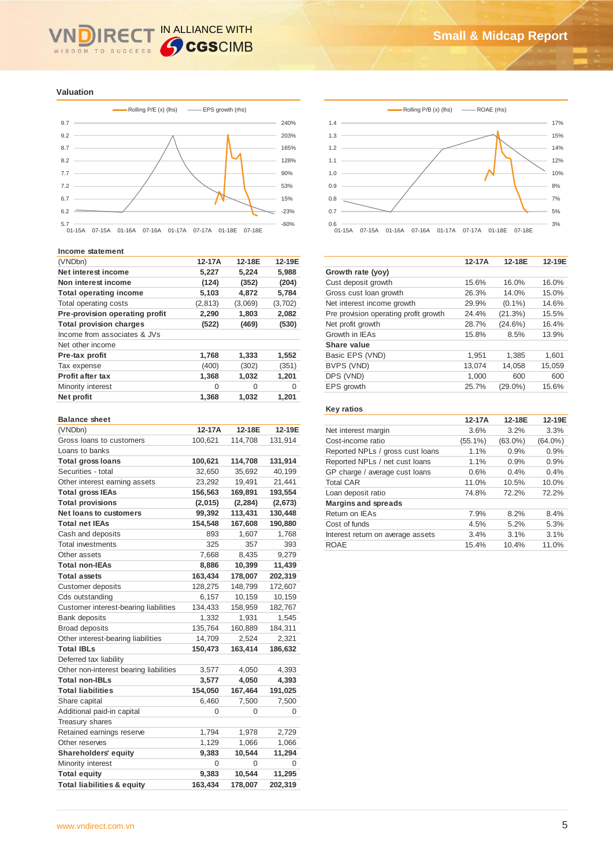### IN ALLIANCE WITH **IRE** WISDOM TO SUCCESS

**Valuation**



#### **Income statement**

| (VNDbn)                        | 12-17A   | 12-18E  | 12-19E  |
|--------------------------------|----------|---------|---------|
| Net interest income            | 5.227    | 5,224   | 5,988   |
| Non interest income            | (124)    | (352)   | (204)   |
| <b>Total operating income</b>  | 5,103    | 4,872   | 5,784   |
| Total operating costs          | (2, 813) | (3,069) | (3,702) |
| Pre-provision operating profit | 2,290    | 1,803   | 2,082   |
| <b>Total provision charges</b> | (522)    | (469)   | (530)   |
| Income from associates & JVs   |          |         |         |
| Net other income               |          |         |         |
| Pre-tax profit                 | 1,768    | 1,333   | 1,552   |
| Tax expense                    | (400)    | (302)   | (351)   |
| <b>Profit after tax</b>        | 1,368    | 1,032   | 1,201   |
| Minority interest              | 0        | 0       | 0       |
| Net profit                     | 1,368    | 1,032   | 1,201   |

#### **Balance sheet**

| (VNDbn)                                | 12-17A   | 12-18E   | 12-19E  |
|----------------------------------------|----------|----------|---------|
| Gross loans to customers               | 100,621  | 114,708  | 131,914 |
| Loans to banks                         |          |          |         |
| <b>Total gross loans</b>               | 100,621  | 114,708  | 131,914 |
| Securities - total                     | 32,650   | 35,692   | 40,199  |
| Other interest earning assets          | 23,292   | 19,491   | 21,441  |
| <b>Total gross IEAs</b>                | 156,563  | 169,891  | 193,554 |
| <b>Total provisions</b>                | (2,015)  | (2, 284) | (2,673) |
| <b>Net loans to customers</b>          | 99,392   | 113,431  | 130,448 |
| <b>Total net IEAs</b>                  | 154,548  | 167,608  | 190,880 |
| Cash and deposits                      | 893      | 1,607    | 1,768   |
| <b>Total investments</b>               | 325      | 357      | 393     |
| Other assets                           | 7,668    | 8,435    | 9,279   |
| <b>Total non-IEAs</b>                  | 8,886    | 10,399   | 11,439  |
| <b>Total assets</b>                    | 163,434  | 178,007  | 202,319 |
| <b>Customer deposits</b>               | 128,275  | 148,799  | 172,607 |
| Cds outstanding                        | 6,157    | 10,159   | 10,159  |
| Customer interest-bearing liabilities  | 134,433  | 158,959  | 182,767 |
| <b>Bank deposits</b>                   | 1,332    | 1,931    | 1,545   |
| <b>Broad deposits</b>                  | 135,764  | 160,889  | 184,311 |
| Other interest-bearing liabilities     | 14,709   | 2,524    | 2,321   |
| <b>Total IBLs</b>                      | 150,473  | 163,414  | 186,632 |
| Deferred tax liability                 |          |          |         |
| Other non-interest bearing liabilities | 3,577    | 4,050    | 4,393   |
| <b>Total non-IBLs</b>                  | 3,577    | 4,050    | 4,393   |
| <b>Total liabilities</b>               | 154,050  | 167,464  | 191,025 |
| Share capital                          | 6,460    | 7,500    | 7,500   |
| Additional paid-in capital             | $\Omega$ | 0        | 0       |
| Treasury shares                        |          |          |         |
| Retained earnings reserve              | 1,794    | 1,978    | 2,729   |
| Other reserves                         | 1,129    | 1,066    | 1,066   |
| Shareholders' equity                   | 9,383    | 10,544   | 11,294  |
| Minority interest                      | 0        | $\Omega$ | 0       |
| <b>Total equity</b>                    | 9,383    | 10,544   | 11,295  |
| <b>Total liabilities &amp; equity</b>  | 163,434  | 178,007  | 202,319 |





|                                       | 12-17A | 12-18E     | 12-19E |
|---------------------------------------|--------|------------|--------|
| Growth rate (yoy)                     |        |            |        |
| Cust deposit growth                   | 15.6%  | 16.0%      | 16.0%  |
| Gross cust loan growth                | 26.3%  | 14.0%      | 15.0%  |
| Net interest income growth            | 29.9%  | $(0.1\%)$  | 14.6%  |
| Pre provision operating profit growth | 24.4%  | (21.3%)    | 15.5%  |
| Net profit growth                     | 28.7%  | $(24.6\%)$ | 16.4%  |
| Growth in IEAs                        | 15.8%  | 8.5%       | 13.9%  |
| Share value                           |        |            |        |
| Basic EPS (VND)                       | 1.951  | 1.385      | 1,601  |
| BVPS (VND)                            | 13,074 | 14,058     | 15,059 |
| DPS (VND)                             | 1.000  | 600        | 600    |
| EPS growth                            | 25.7%  | $(29.0\%)$ | 15.6%  |
|                                       |        |            |        |

#### **Key ratios**

|                                   | 12-17A     | 12-18E     | 12-19E     |
|-----------------------------------|------------|------------|------------|
| Net interest margin               | 3.6%       | 3.2%       | 3.3%       |
| Cost-income ratio                 | $(55.1\%)$ | $(63.0\%)$ | $(64.0\%)$ |
| Reported NPLs / gross cust loans  | 1.1%       | 0.9%       | 0.9%       |
| Reported NPLs / net cust loans    | 1.1%       | 0.9%       | 0.9%       |
| GP charge / average cust loans    | 0.6%       | 0.4%       | 0.4%       |
| <b>Total CAR</b>                  | 11.0%      | 10.5%      | 10.0%      |
| Loan deposit ratio                | 74.8%      | 72.2%      | 72.2%      |
| <b>Margins and spreads</b>        |            |            |            |
| Return on IEAs                    | 7.9%       | 8.2%       | 8.4%       |
| Cost of funds                     | 4.5%       | 5.2%       | 5.3%       |
| Interest return on average assets | 3.4%       | 3.1%       | 3.1%       |
| <b>ROAE</b>                       | 15.4%      | 10.4%      | 11.0%      |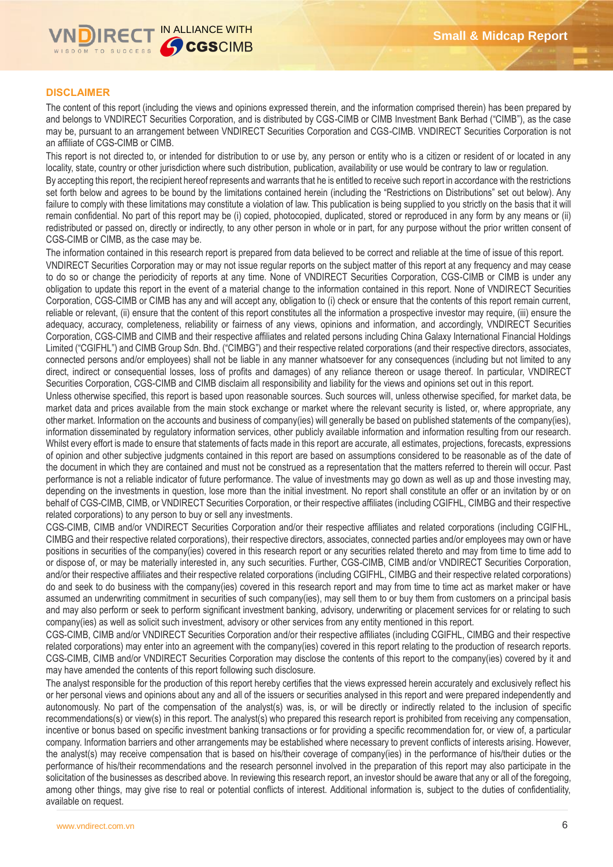

### **DISCLAIMER**

The content of this report (including the views and opinions expressed therein, and the information comprised therein) has been prepared by and belongs to VNDIRECT Securities Corporation, and is distributed by CGS-CIMB or CIMB Investment Bank Berhad ("CIMB"), as the case may be, pursuant to an arrangement between VNDIRECT Securities Corporation and CGS-CIMB. VNDIRECT Securities Corporation is not an affiliate of CGS-CIMB or CIMB.

This report is not directed to, or intended for distribution to or use by, any person or entity who is a citizen or resident of or located in any locality, state, country or other jurisdiction where such distribution, publication, availability or use would be contrary to law or regulation.

By accepting this report, the recipient hereof represents and warrants that he is entitled to receive such report in accordance with the restrictions set forth below and agrees to be bound by the limitations contained herein (including the "Restrictions on Distributions" set out below). Any failure to comply with these limitations may constitute a violation of law. This publication is being supplied to you strictly on the basis that it will remain confidential. No part of this report may be (i) copied, photocopied, duplicated, stored or reproduced in any form by any means or (ii) redistributed or passed on, directly or indirectly, to any other person in whole or in part, for any purpose without the prior written consent of CGS-CIMB or CIMB, as the case may be.

The information contained in this research report is prepared from data believed to be correct and reliable at the time of issue of this report. VNDIRECT Securities Corporation may or may not issue regular reports on the subject matter of this report at any frequency and may cease to do so or change the periodicity of reports at any time. None of VNDIRECT Securities Corporation, CGS-CIMB or CIMB is under any obligation to update this report in the event of a material change to the information contained in this report. None of VNDIRECT Securities Corporation, CGS-CIMB or CIMB has any and will accept any, obligation to (i) check or ensure that the contents of this report remain current, reliable or relevant, (ii) ensure that the content of this report constitutes all the information a prospective investor may require, (iii) ensure the adequacy, accuracy, completeness, reliability or fairness of any views, opinions and information, and accordingly, VNDIRECT Securities Corporation, CGS-CIMB and CIMB and their respective affiliates and related persons including China Galaxy International Financial Holdings Limited ("CGIFHL") and CIMB Group Sdn. Bhd. ("CIMBG") and their respective related corporations (and their respective directors, associates, connected persons and/or employees) shall not be liable in any manner whatsoever for any consequences (including but not limited to any direct, indirect or consequential losses, loss of profits and damages) of any reliance thereon or usage thereof. In particular, VNDIRECT Securities Corporation, CGS-CIMB and CIMB disclaim all responsibility and liability for the views and opinions set out in this report.

Unless otherwise specified, this report is based upon reasonable sources. Such sources will, unless otherwise specified, for market data, be market data and prices available from the main stock exchange or market where the relevant security is listed, or, where appropriate, any other market. Information on the accounts and business of company(ies) will generally be based on published statements of the company(ies), information disseminated by regulatory information services, other publicly available information and information resulting from our research. Whilst every effort is made to ensure that statements of facts made in this report are accurate, all estimates, projections, forecasts, expressions of opinion and other subjective judgments contained in this report are based on assumptions considered to be reasonable as of the date of the document in which they are contained and must not be construed as a representation that the matters referred to therein will occur. Past performance is not a reliable indicator of future performance. The value of investments may go down as well as up and those investing may, depending on the investments in question, lose more than the initial investment. No report shall constitute an offer or an invitation by or on behalf of CGS-CIMB, CIMB, or VNDIRECT Securities Corporation, or their respective affiliates (including CGIFHL, CIMBG and their respective related corporations) to any person to buy or sell any investments.

CGS-CIMB, CIMB and/or VNDIRECT Securities Corporation and/or their respective affiliates and related corporations (including CGIFHL, CIMBG and their respective related corporations), their respective directors, associates, connected parties and/or employees may own or have positions in securities of the company(ies) covered in this research report or any securities related thereto and may from time to time add to or dispose of, or may be materially interested in, any such securities. Further, CGS-CIMB, CIMB and/or VNDIRECT Securities Corporation, and/or their respective affiliates and their respective related corporations (including CGIFHL, CIMBG and their respective related corporations) do and seek to do business with the company(ies) covered in this research report and may from time to time act as market maker or have assumed an underwriting commitment in securities of such company(ies), may sell them to or buy them from customers on a principal basis and may also perform or seek to perform significant investment banking, advisory, underwriting or placement services for or relating to such company(ies) as well as solicit such investment, advisory or other services from any entity mentioned in this report.

CGS-CIMB, CIMB and/or VNDIRECT Securities Corporation and/or their respective affiliates (including CGIFHL, CIMBG and their respective related corporations) may enter into an agreement with the company(ies) covered in this report relating to the production of research reports. CGS-CIMB, CIMB and/or VNDIRECT Securities Corporation may disclose the contents of this report to the company(ies) covered by it and may have amended the contents of this report following such disclosure.

The analyst responsible for the production of this report hereby certifies that the views expressed herein accurately and exclusively reflect his or her personal views and opinions about any and all of the issuers or securities analysed in this report and were prepared independently and autonomously. No part of the compensation of the analyst(s) was, is, or will be directly or indirectly related to the inclusion of specific recommendations(s) or view(s) in this report. The analyst(s) who prepared this research report is prohibited from receiving any compensation, incentive or bonus based on specific investment banking transactions or for providing a specific recommendation for, or view of, a particular company. Information barriers and other arrangements may be established where necessary to prevent conflicts of interests arising. However, the analyst(s) may receive compensation that is based on his/their coverage of company(ies) in the performance of his/their duties or the performance of his/their recommendations and the research personnel involved in the preparation of this report may also participate in the solicitation of the businesses as described above. In reviewing this research report, an investor should be aware that any or all of the foregoing, among other things, may give rise to real or potential conflicts of interest. Additional information is, subject to the duties of confidentiality, available on request.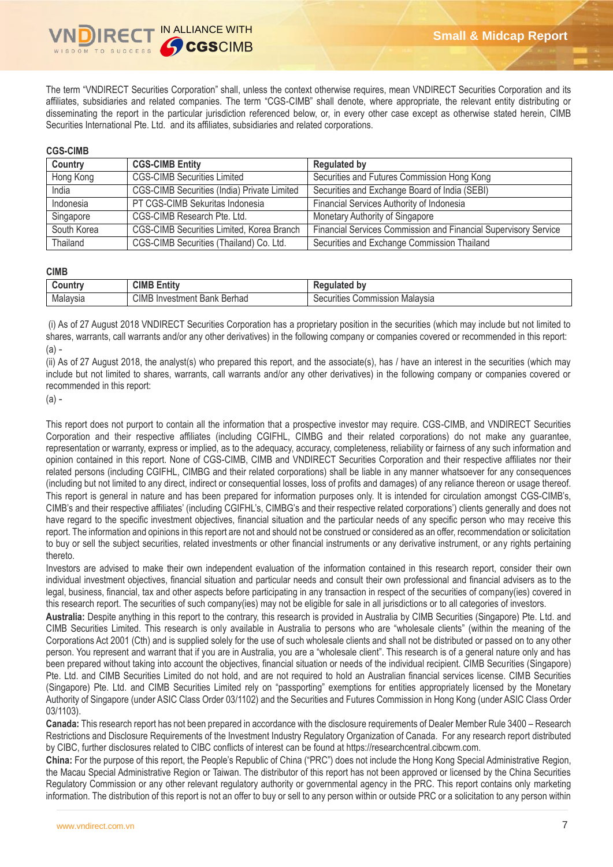The term "VNDIRECT Securities Corporation" shall, unless the context otherwise requires, mean VNDIRECT Securities Corporation and its affiliates, subsidiaries and related companies. The term "CGS-CIMB" shall denote, where appropriate, the relevant entity distributing or disseminating the report in the particular jurisdiction referenced below, or, in every other case except as otherwise stated herein, CIMB Securities International Pte. Ltd. and its affiliates, subsidiaries and related corporations.

#### **CGS-CIMB**

| Country     | <b>CGS-CIMB Entity</b>                      | <b>Regulated by</b>                                             |
|-------------|---------------------------------------------|-----------------------------------------------------------------|
| Hong Kong   | <b>CGS-CIMB Securities Limited</b>          | Securities and Futures Commission Hong Kong                     |
| India       | CGS-CIMB Securities (India) Private Limited | Securities and Exchange Board of India (SEBI)                   |
| Indonesia   | PT CGS-CIMB Sekuritas Indonesia             | Financial Services Authority of Indonesia                       |
| Singapore   | CGS-CIMB Research Pte. Ltd.                 | Monetary Authority of Singapore                                 |
| South Korea | CGS-CIMB Securities Limited, Korea Branch   | Financial Services Commission and Financial Supervisory Service |
| Thailand    | CGS-CIMB Securities (Thailand) Co. Ltd.     | Securities and Exchange Commission Thailand                     |

#### **CIMB**

| <b>ountr</b> | $\sim$<br>CIME<br>$\overline{1}$<br><b>Entity</b> | b٧<br>- austa ke et :<br><b>ALLA</b><br>. 16 V     |
|--------------|---------------------------------------------------|----------------------------------------------------|
| Malavsia     | CIMB<br>Berhad<br>Investmen<br>Ban                | ommission<br>ecurities<br>Malavsia<br>əecur<br>וטט |

(i) As of 27 August 2018 VNDIRECT Securities Corporation has a proprietary position in the securities (which may include but not limited to shares, warrants, call warrants and/or any other derivatives) in the following company or companies covered or recommended in this report:  $(a) -$ 

(ii) As of 27 August 2018, the analyst(s) who prepared this report, and the associate(s), has / have an interest in the securities (which may include but not limited to shares, warrants, call warrants and/or any other derivatives) in the following company or companies covered or recommended in this report:

(a) -

This report does not purport to contain all the information that a prospective investor may require. CGS-CIMB, and VNDIRECT Securities Corporation and their respective affiliates (including CGIFHL, CIMBG and their related corporations) do not make any guarantee, representation or warranty, express or implied, as to the adequacy, accuracy, completeness, reliability or fairness of any such information and opinion contained in this report. None of CGS-CIMB, CIMB and VNDIRECT Securities Corporation and their respective affiliates nor their related persons (including CGIFHL, CIMBG and their related corporations) shall be liable in any manner whatsoever for any consequences (including but not limited to any direct, indirect or consequential losses, loss of profits and damages) of any reliance thereon or usage thereof. This report is general in nature and has been prepared for information purposes only. It is intended for circulation amongst CGS-CIMB's, CIMB's and their respective affiliates' (including CGIFHL's, CIMBG's and their respective related corporations') clients generally and does not have regard to the specific investment objectives, financial situation and the particular needs of any specific person who may receive this report. The information and opinions in this report are not and should not be construed or considered as an offer, recommendation or solicitation to buy or sell the subject securities, related investments or other financial instruments or any derivative instrument, or any rights pertaining thereto.

Investors are advised to make their own independent evaluation of the information contained in this research report, consider their own individual investment objectives, financial situation and particular needs and consult their own professional and financial advisers as to the legal, business, financial, tax and other aspects before participating in any transaction in respect of the securities of company(ies) covered in this research report. The securities of such company(ies) may not be eligible for sale in all jurisdictions or to all categories of investors.

**Australia:** Despite anything in this report to the contrary, this research is provided in Australia by CIMB Securities (Singapore) Pte. Ltd. and CIMB Securities Limited. This research is only available in Australia to persons who are "wholesale clients" (within the meaning of the Corporations Act 2001 (Cth) and is supplied solely for the use of such wholesale clients and shall not be distributed or passed on to any other person. You represent and warrant that if you are in Australia, you are a "wholesale client". This research is of a general nature only and has been prepared without taking into account the objectives, financial situation or needs of the individual recipient. CIMB Securities (Singapore) Pte. Ltd. and CIMB Securities Limited do not hold, and are not required to hold an Australian financial services license. CIMB Securities (Singapore) Pte. Ltd. and CIMB Securities Limited rely on "passporting" exemptions for entities appropriately licensed by the Monetary Authority of Singapore (under ASIC Class Order 03/1102) and the Securities and Futures Commission in Hong Kong (under ASIC Class Order 03/1103).

**Canada:** This research report has not been prepared in accordance with the disclosure requirements of Dealer Member Rule 3400 – Research Restrictions and Disclosure Requirements of the Investment Industry Regulatory Organization of Canada. For any research report distributed by CIBC, further disclosures related to CIBC conflicts of interest can be found at https://researchcentral.cibcwm.com.

**China:** For the purpose of this report, the People's Republic of China ("PRC") does not include the Hong Kong Special Administrative Region, the Macau Special Administrative Region or Taiwan. The distributor of this report has not been approved or licensed by the China Securities Regulatory Commission or any other relevant regulatory authority or governmental agency in the PRC. This report contains only marketing information. The distribution of this report is not an offer to buy or sell to any person within or outside PRC or a solicitation to any person within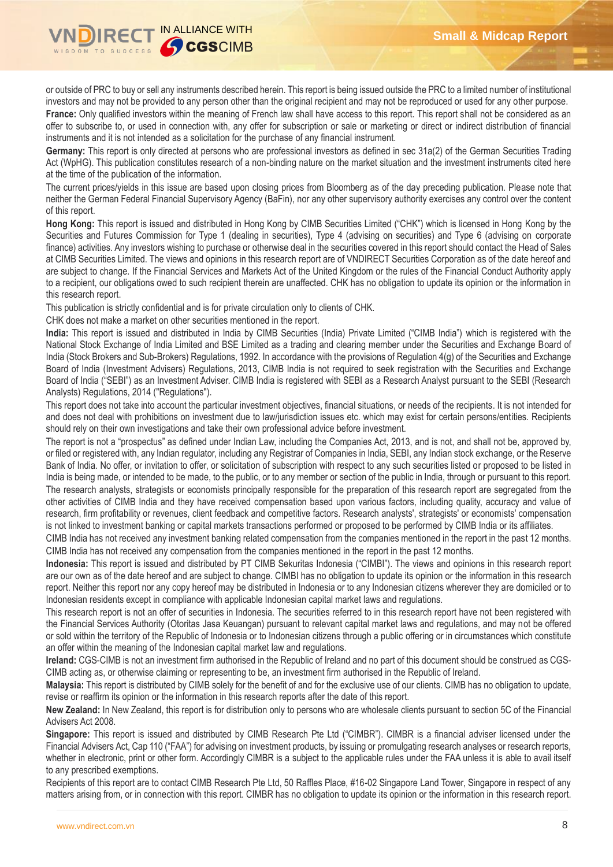

or outside of PRC to buy or sell any instruments described herein. This report is being issued outside the PRC to a limited number of institutional investors and may not be provided to any person other than the original recipient and may not be reproduced or used for any other purpose. France: Only qualified investors within the meaning of French law shall have access to this report. This report shall not be considered as an offer to subscribe to, or used in connection with, any offer for subscription or sale or marketing or direct or indirect distribution of financial instruments and it is not intended as a solicitation for the purchase of any financial instrument.

**Germany:** This report is only directed at persons who are professional investors as defined in sec 31a(2) of the German Securities Trading Act (WpHG). This publication constitutes research of a non-binding nature on the market situation and the investment instruments cited here at the time of the publication of the information.

The current prices/yields in this issue are based upon closing prices from Bloomberg as of the day preceding publication. Please note that neither the German Federal Financial Supervisory Agency (BaFin), nor any other supervisory authority exercises any control over the content of this report.

**Hong Kong:** This report is issued and distributed in Hong Kong by CIMB Securities Limited ("CHK") which is licensed in Hong Kong by the Securities and Futures Commission for Type 1 (dealing in securities), Type 4 (advising on securities) and Type 6 (advising on corporate finance) activities. Any investors wishing to purchase or otherwise deal in the securities covered in this report should contact the Head of Sales at CIMB Securities Limited. The views and opinions in this research report are of VNDIRECT Securities Corporation as of the date hereof and are subject to change. If the Financial Services and Markets Act of the United Kingdom or the rules of the Financial Conduct Authority apply to a recipient, our obligations owed to such recipient therein are unaffected. CHK has no obligation to update its opinion or the information in this research report.

This publication is strictly confidential and is for private circulation only to clients of CHK.

CHK does not make a market on other securities mentioned in the report.

**India:** This report is issued and distributed in India by CIMB Securities (India) Private Limited ("CIMB India") which is registered with the National Stock Exchange of India Limited and BSE Limited as a trading and clearing member under the Securities and Exchange Board of India (Stock Brokers and Sub-Brokers) Regulations, 1992. In accordance with the provisions of Regulation 4(g) of the Securities and Exchange Board of India (Investment Advisers) Regulations, 2013, CIMB India is not required to seek registration with the Securities and Exchange Board of India ("SEBI") as an Investment Adviser. CIMB India is registered with SEBI as a Research Analyst pursuant to the SEBI (Research Analysts) Regulations, 2014 ("Regulations").

This report does not take into account the particular investment objectives, financial situations, or needs of the recipients. It is not intended for and does not deal with prohibitions on investment due to law/jurisdiction issues etc. which may exist for certain persons/entities. Recipients should rely on their own investigations and take their own professional advice before investment.

The report is not a "prospectus" as defined under Indian Law, including the Companies Act, 2013, and is not, and shall not be, approved by, or filed or registered with, any Indian regulator, including any Registrar of Companies in India, SEBI, any Indian stock exchange, or the Reserve Bank of India. No offer, or invitation to offer, or solicitation of subscription with respect to any such securities listed or proposed to be listed in India is being made, or intended to be made, to the public, or to any member or section of the public in India, through or pursuant to this report. The research analysts, strategists or economists principally responsible for the preparation of this research report are segregated from the other activities of CIMB India and they have received compensation based upon various factors, including quality, accuracy and value of research, firm profitability or revenues, client feedback and competitive factors. Research analysts', strategists' or economists' compensation is not linked to investment banking or capital markets transactions performed or proposed to be performed by CIMB India or its affiliates.

CIMB India has not received any investment banking related compensation from the companies mentioned in the report in the past 12 months. CIMB India has not received any compensation from the companies mentioned in the report in the past 12 months.

**Indonesia:** This report is issued and distributed by PT CIMB Sekuritas Indonesia ("CIMBI"). The views and opinions in this research report are our own as of the date hereof and are subject to change. CIMBI has no obligation to update its opinion or the information in this research report. Neither this report nor any copy hereof may be distributed in Indonesia or to any Indonesian citizens wherever they are domiciled or to Indonesian residents except in compliance with applicable Indonesian capital market laws and regulations.

This research report is not an offer of securities in Indonesia. The securities referred to in this research report have not been registered with the Financial Services Authority (Otoritas Jasa Keuangan) pursuant to relevant capital market laws and regulations, and may not be offered or sold within the territory of the Republic of Indonesia or to Indonesian citizens through a public offering or in circumstances which constitute an offer within the meaning of the Indonesian capital market law and regulations.

**Ireland:** CGS-CIMB is not an investment firm authorised in the Republic of Ireland and no part of this document should be construed as CGS-CIMB acting as, or otherwise claiming or representing to be, an investment firm authorised in the Republic of Ireland.

**Malaysia:** This report is distributed by CIMB solely for the benefit of and for the exclusive use of our clients. CIMB has no obligation to update, revise or reaffirm its opinion or the information in this research reports after the date of this report.

**New Zealand:** In New Zealand, this report is for distribution only to persons who are wholesale clients pursuant to section 5C of the Financial Advisers Act 2008.

**Singapore:** This report is issued and distributed by CIMB Research Pte Ltd ("CIMBR"). CIMBR is a financial adviser licensed under the Financial Advisers Act, Cap 110 ("FAA") for advising on investment products, by issuing or promulgating research analyses or research reports, whether in electronic, print or other form. Accordingly CIMBR is a subject to the applicable rules under the FAA unless it is able to avail itself to any prescribed exemptions.

Recipients of this report are to contact CIMB Research Pte Ltd, 50 Raffles Place, #16-02 Singapore Land Tower, Singapore in respect of any matters arising from, or in connection with this report. CIMBR has no obligation to update its opinion or the information in this research report.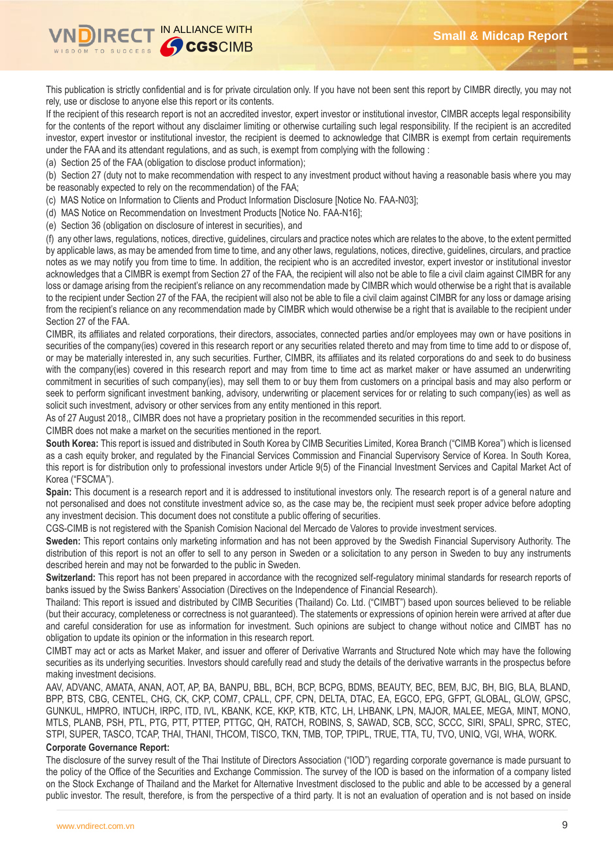

This publication is strictly confidential and is for private circulation only. If you have not been sent this report by CIMBR directly, you may not rely, use or disclose to anyone else this report or its contents.

If the recipient of this research report is not an accredited investor, expert investor or institutional investor, CIMBR accepts legal responsibility for the contents of the report without any disclaimer limiting or otherwise curtailing such legal responsibility. If the recipient is an accredited investor, expert investor or institutional investor, the recipient is deemed to acknowledge that CIMBR is exempt from certain requirements under the FAA and its attendant regulations, and as such, is exempt from complying with the following :

(a) Section 25 of the FAA (obligation to disclose product information);

(b) Section 27 (duty not to make recommendation with respect to any investment product without having a reasonable basis where you may be reasonably expected to rely on the recommendation) of the FAA;

(c) MAS Notice on Information to Clients and Product Information Disclosure [Notice No. FAA-N03];

(d) MAS Notice on Recommendation on Investment Products [Notice No. FAA-N16];

(e) Section 36 (obligation on disclosure of interest in securities), and

(f) any other laws, regulations, notices, directive, guidelines, circulars and practice notes which are relates to the above, to the extent permitted by applicable laws, as may be amended from time to time, and any other laws, regulations, notices, directive, guidelines, circulars, and practice notes as we may notify you from time to time. In addition, the recipient who is an accredited investor, expert investor or institutional investor acknowledges that a CIMBR is exempt from Section 27 of the FAA, the recipient will also not be able to file a civil claim against CIMBR for any loss or damage arising from the recipient's reliance on any recommendation made by CIMBR which would otherwise be a right that is available to the recipient under Section 27 of the FAA, the recipient will also not be able to file a civil claim against CIMBR for any loss or damage arising from the recipient's reliance on any recommendation made by CIMBR which would otherwise be a right that is available to the recipient under Section 27 of the FAA.

CIMBR, its affiliates and related corporations, their directors, associates, connected parties and/or employees may own or have positions in securities of the company(ies) covered in this research report or any securities related thereto and may from time to time add to or dispose of, or may be materially interested in, any such securities. Further, CIMBR, its affiliates and its related corporations do and seek to do business with the company(ies) covered in this research report and may from time to time act as market maker or have assumed an underwriting commitment in securities of such company(ies), may sell them to or buy them from customers on a principal basis and may also perform or seek to perform significant investment banking, advisory, underwriting or placement services for or relating to such company(ies) as well as solicit such investment, advisory or other services from any entity mentioned in this report.

As of 27 August 2018,, CIMBR does not have a proprietary position in the recommended securities in this report.

CIMBR does not make a market on the securities mentioned in the report.

**South Korea:** This report is issued and distributed in South Korea by CIMB Securities Limited, Korea Branch ("CIMB Korea") which is licensed as a cash equity broker, and regulated by the Financial Services Commission and Financial Supervisory Service of Korea. In South Korea, this report is for distribution only to professional investors under Article 9(5) of the Financial Investment Services and Capital Market Act of Korea ("FSCMA").

**Spain:** This document is a research report and it is addressed to institutional investors only. The research report is of a general nature and not personalised and does not constitute investment advice so, as the case may be, the recipient must seek proper advice before adopting any investment decision. This document does not constitute a public offering of securities.

CGS-CIMB is not registered with the Spanish Comision Nacional del Mercado de Valores to provide investment services.

**Sweden:** This report contains only marketing information and has not been approved by the Swedish Financial Supervisory Authority. The distribution of this report is not an offer to sell to any person in Sweden or a solicitation to any person in Sweden to buy any instruments described herein and may not be forwarded to the public in Sweden.

**Switzerland:** This report has not been prepared in accordance with the recognized self-regulatory minimal standards for research reports of banks issued by the Swiss Bankers' Association (Directives on the Independence of Financial Research).

Thailand: This report is issued and distributed by CIMB Securities (Thailand) Co. Ltd. ("CIMBT") based upon sources believed to be reliable (but their accuracy, completeness or correctness is not guaranteed). The statements or expressions of opinion herein were arrived at after due and careful consideration for use as information for investment. Such opinions are subject to change without notice and CIMBT has no obligation to update its opinion or the information in this research report.

CIMBT may act or acts as Market Maker, and issuer and offerer of Derivative Warrants and Structured Note which may have the following securities as its underlying securities. Investors should carefully read and study the details of the derivative warrants in the prospectus before making investment decisions.

AAV, ADVANC, AMATA, ANAN, AOT, AP, BA, BANPU, BBL, BCH, BCP, BCPG, BDMS, BEAUTY, BEC, BEM, BJC, BH, BIG, BLA, BLAND, BPP, BTS, CBG, CENTEL, CHG, CK, CKP, COM7, CPALL, CPF, CPN, DELTA, DTAC, EA, EGCO, EPG, GFPT, GLOBAL, GLOW, GPSC, GUNKUL, HMPRO, INTUCH, IRPC, ITD, IVL, KBANK, KCE, KKP, KTB, KTC, LH, LHBANK, LPN, MAJOR, MALEE, MEGA, MINT, MONO, MTLS, PLANB, PSH, PTL, PTG, PTT, PTTEP, PTTGC, QH, RATCH, ROBINS, S, SAWAD, SCB, SCC, SCCC, SIRI, SPALI, SPRC, STEC, STPI, SUPER, TASCO, TCAP, THAI, THANI, THCOM, TISCO, TKN, TMB, TOP, TPIPL, TRUE, TTA, TU, TVO, UNIQ, VGI, WHA, WORK.

### **Corporate Governance Report:**

The disclosure of the survey result of the Thai Institute of Directors Association ("IOD") regarding corporate governance is made pursuant to the policy of the Office of the Securities and Exchange Commission. The survey of the IOD is based on the information of a company listed on the Stock Exchange of Thailand and the Market for Alternative Investment disclosed to the public and able to be accessed by a general public investor. The result, therefore, is from the perspective of a third party. It is not an evaluation of operation and is not based on inside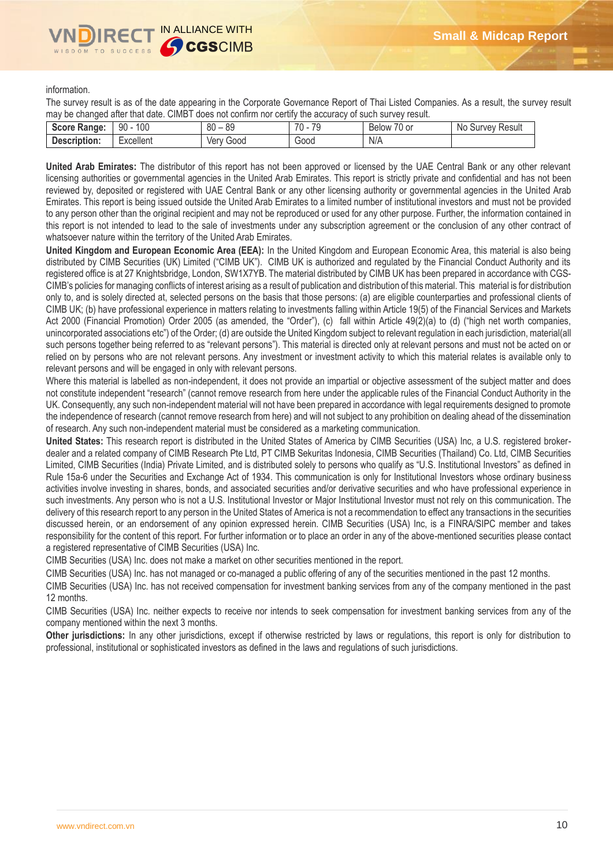

information.

The survey result is as of the date appearing in the Corporate Governance Report of Thai Listed Companies. As a result, the survey result may be changed after that date. CIMBT does not confirm nor certify the accuracy of such survey result.

| Score Ra.<br>anae: | 100<br>n۵<br>ັນບ                      | 00<br>$\circ$<br>ou<br>೦೮ | 70<br>$\overline{\phantom{a}}$<br>- 14<br>u | $\overline{\phantom{0}}$<br>'U or<br><b>Below</b> | N0<br>Result<br>uvev.<br>∍uu |
|--------------------|---------------------------------------|---------------------------|---------------------------------------------|---------------------------------------------------|------------------------------|
| Description:       | Excellent<br>$\overline{\phantom{a}}$ | 000ز'<br>ver              | 000ن                                        | N/A                                               |                              |

**United Arab Emirates:** The distributor of this report has not been approved or licensed by the UAE Central Bank or any other relevant licensing authorities or governmental agencies in the United Arab Emirates. This report is strictly private and confidential and has not been reviewed by, deposited or registered with UAE Central Bank or any other licensing authority or governmental agencies in the United Arab Emirates. This report is being issued outside the United Arab Emirates to a limited number of institutional investors and must not be provided to any person other than the original recipient and may not be reproduced or used for any other purpose. Further, the information contained in this report is not intended to lead to the sale of investments under any subscription agreement or the conclusion of any other contract of whatsoever nature within the territory of the United Arab Emirates.

**United Kingdom and European Economic Area (EEA):** In the United Kingdom and European Economic Area, this material is also being distributed by CIMB Securities (UK) Limited ("CIMB UK"). CIMB UK is authorized and regulated by the Financial Conduct Authority and its registered office is at 27 Knightsbridge, London, SW1X7YB. The material distributed by CIMB UK has been prepared in accordance with CGS-CIMB's policies for managing conflicts of interest arising as a result of publication and distribution of this material. This material is for distribution only to, and is solely directed at, selected persons on the basis that those persons: (a) are eligible counterparties and professional clients of CIMB UK; (b) have professional experience in matters relating to investments falling within Article 19(5) of the Financial Services and Markets Act 2000 (Financial Promotion) Order 2005 (as amended, the "Order"), (c) fall within Article 49(2)(a) to (d) ("high net worth companies, unincorporated associations etc") of the Order; (d) are outside the United Kingdom subject to relevant regulation in each jurisdiction, material(all such persons together being referred to as "relevant persons"). This material is directed only at relevant persons and must not be acted on or relied on by persons who are not relevant persons. Any investment or investment activity to which this material relates is available only to relevant persons and will be engaged in only with relevant persons.

Where this material is labelled as non-independent, it does not provide an impartial or objective assessment of the subject matter and does not constitute independent "research" (cannot remove research from here under the applicable rules of the Financial Conduct Authority in the UK. Consequently, any such non-independent material will not have been prepared in accordance with legal requirements designed to promote the independence of research (cannot remove research from here) and will not subject to any prohibition on dealing ahead of the dissemination of research. Any such non-independent material must be considered as a marketing communication.

**United States:** This research report is distributed in the United States of America by CIMB Securities (USA) Inc, a U.S. registered brokerdealer and a related company of CIMB Research Pte Ltd, PT CIMB Sekuritas Indonesia, CIMB Securities (Thailand) Co. Ltd, CIMB Securities Limited, CIMB Securities (India) Private Limited, and is distributed solely to persons who qualify as "U.S. Institutional Investors" as defined in Rule 15a-6 under the Securities and Exchange Act of 1934. This communication is only for Institutional Investors whose ordinary business activities involve investing in shares, bonds, and associated securities and/or derivative securities and who have professional experience in such investments. Any person who is not a U.S. Institutional Investor or Major Institutional Investor must not rely on this communication. The delivery of this research report to any person in the United States of America is not a recommendation to effect any transactions in the securities discussed herein, or an endorsement of any opinion expressed herein. CIMB Securities (USA) Inc, is a FINRA/SIPC member and takes responsibility for the content of this report. For further information or to place an order in any of the above-mentioned securities please contact a registered representative of CIMB Securities (USA) Inc.

CIMB Securities (USA) Inc. does not make a market on other securities mentioned in the report.

CIMB Securities (USA) Inc. has not managed or co-managed a public offering of any of the securities mentioned in the past 12 months.

CIMB Securities (USA) Inc. has not received compensation for investment banking services from any of the company mentioned in the past 12 months.

CIMB Securities (USA) Inc. neither expects to receive nor intends to seek compensation for investment banking services from any of the company mentioned within the next 3 months.

**Other jurisdictions:** In any other jurisdictions, except if otherwise restricted by laws or regulations, this report is only for distribution to professional, institutional or sophisticated investors as defined in the laws and regulations of such jurisdictions.